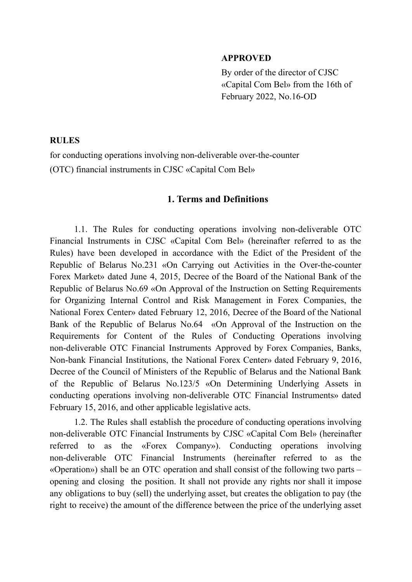### **APPROVED**

By order of the director of CJSC «Capital Com Bel» from the 16th of February 2022, No.16-OD

### **RULES**

for conducting operations involving non-deliverable over-the-counter (OTC) financial instruments in CJSC «Capital Com Bel»

#### **1. Terms and Definitions**

1.1. The Rules for conducting operations involving non-deliverable OTC Financial Instruments in CJSC «Capital Com Bel» (hereinafter referred to as the Rules) have been developed in accordance with the Edict of the President of the Republic of Belarus No.231 «On Carrying out Activities in the Over-the-counter Forex Market» dated June 4, 2015, Decree of the Board of the National Bank of the Republic of Belarus No.69 «On Approval of the Instruction on Setting Requirements for Organizing Internal Control and Risk Management in Forex Companies, the National Forex Center» dated February 12, 2016, Decree of the Board of the National Bank of the Republic of Belarus No.64 «On Approval of the Instruction on the Requirements for Content of the Rules of Conducting Operations involving non-deliverable OTC Financial Instruments Approved by Forex Companies, Banks, Non-bank Financial Institutions, the National Forex Center» dated February 9, 2016, Decree of the Council of Ministers of the Republic of Belarus and the National Bank of the Republic of Belarus No.123/5 «On Determining Underlying Assets in conducting operations involving non-deliverable OTC Financial Instruments» dated February 15, 2016, and other applicable legislative acts.

1.2. The Rules shall establish the procedure of conducting operations involving non-deliverable OTC Financial Instruments by CJSC «Capital Com Bel» (hereinafter referred to as the «Forex Company»). Conducting operations involving non-deliverable OTC Financial Instruments (hereinafter referred to as the «Operation») shall be an OTC operation and shall consist of the following two parts – opening and closing the position. It shall not provide any rights nor shall it impose any obligations to buy (sell) the underlying asset, but creates the obligation to pay (the right to receive) the amount of the difference between the price of the underlying asset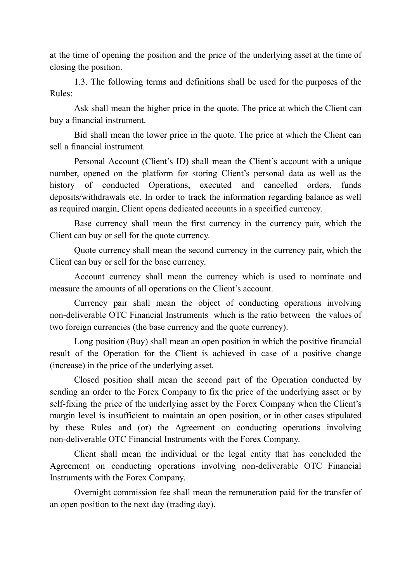at the time of opening the position and the price of the underlying asset at the time of closing the position.

1.3. The following terms and definitions shall be used for the purposes of the Rules:

Ask shall mean the higher price in the quote. The price at which the Client can buy a financial instrument.

Bid shall mean the lower price in the quote. The price at which the Client can sell a financial instrument.

Personal Account (Client's ID) shall mean the Client's account with a unique number, opened on the platform for storing Client's personal data as well as the history of conducted Operations, executed and cancelled orders, funds deposits/withdrawals etc. In order to track the information regarding balance as well as required margin, Client opens dedicated accounts in a specified currency.

Base currency shall mean the first currency in the currency pair, which the Client can buy or sell for the quote currency.

Quote currency shall mean the second currency in the currency pair, which the Client can buy or sell for the base currency.

Account currency shall mean the currency which is used to nominate and measure the amounts of all operations on the Client's account.

Currency pair shall mean the object of conducting operations involving non-deliverable OTC Financial Instruments which is the ratio between the values of two foreign currencies (the base currency and the quote currency).

Long position (Buy) shall mean an open position in which the positive financial result of the Operation for the Client is achieved in case of a positive change (increase) in the price of the underlying asset.

Closed position shall mean the second part of the Operation conducted by sending an order to the Forex Company to fix the price of the underlying asset or by self-fixing the price of the underlying asset by the Forex Company when the Client's margin level is insufficient to maintain an open position, or in other cases stipulated by these Rules and (or) the Agreement on conducting operations involving non-deliverable OTC Financial Instruments with the Forex Company.

Client shall mean the individual or the legal entity that has concluded the Agreement on conducting operations involving non-deliverable OTC Financial Instruments with the Forex Company.

Overnight commission fee shall mean the remuneration paid for the transfer of an open position to the next day (trading day).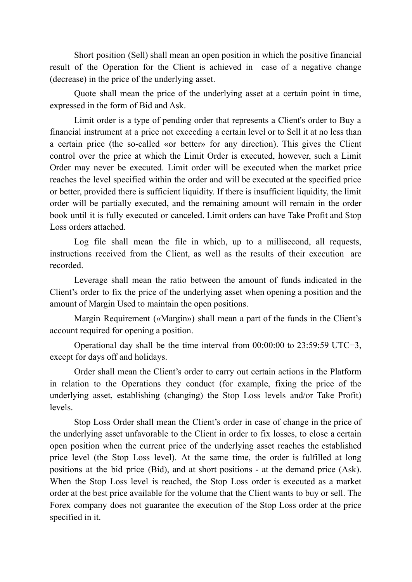Short position (Sell) shall mean an open position in which the positive financial result of the Operation for the Client is achieved in case of a negative change (decrease) in the price of the underlying asset.

Quote shall mean the price of the underlying asset at a certain point in time, expressed in the form of Bid and Ask.

Limit order is a type of pending order that represents a Client's order to Buy a financial instrument at a price not exceeding a certain level or to Sell it at no less than a certain price (the so-called «or better» for any direction). This gives the Client control over the price at which the Limit Order is executed, however, such a Limit Order may never be executed. Limit order will be executed when the market price reaches the level specified within the order and will be executed at the specified price or better, provided there is sufficient liquidity. If there is insufficient liquidity, the limit order will be partially executed, and the remaining amount will remain in the order book until it is fully executed or canceled. Limit orders can have Take Profit and Stop Loss orders attached.

Log file shall mean the file in which, up to a millisecond, all requests, instructions received from the Client, as well as the results of their execution are recorded.

Leverage shall mean the ratio between the amount of funds indicated in the Client's order to fix the price of the underlying asset when opening a position and the amount of Margin Used to maintain the open positions.

Margin Requirement («Margin») shall mean a part of the funds in the Client's account required for opening a position.

Operational day shall be the time interval from 00:00:00 to 23:59:59 UTС+3, except for days off and holidays.

Order shall mean the Client's order to carry out certain actions in the Platform in relation to the Operations they conduct (for example, fixing the price of the underlying asset, establishing (changing) the Stop Loss levels and/or Take Profit) levels.

Stop Loss Order shall mean the Client's order in case of change in the price of the underlying asset unfavorable to the Client in order to fix losses, to close a certain open position when the current price of the underlying asset reaches the established price level (the Stop Loss level). At the same time, the order is fulfilled at long positions at the bid price (Bid), and at short positions - at the demand price (Ask). When the Stop Loss level is reached, the Stop Loss order is executed as a market order at the best price available for the volume that the Client wants to buy or sell. The Forex company does not guarantee the execution of the Stop Loss order at the price specified in it.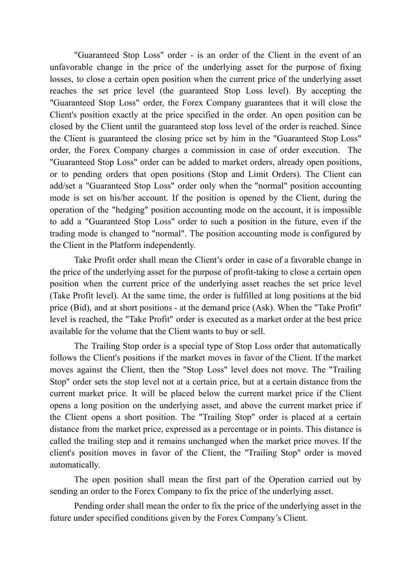"Guaranteed Stop Loss" order - is an order of the Client in the event of an unfavorable change in the price of the underlying asset for the purpose of fixing losses, to close a certain open position when the current price of the underlying asset reaches the set price level (the guaranteed Stop Loss level). By accepting the "Guaranteed Stop Loss" order, the Forex Company guarantees that it will close the Client's position exactly at the price specified in the order. An open position can be closed by the Client until the guaranteed stop loss level of the order is reached. Since the Client is guaranteed the closing price set by him in the "Guaranteed Stop Loss" order, the Forex Company charges a commission in case of order execution. The "Guaranteed Stop Loss" order can be added to market orders, already open positions, or to pending orders that open positions (Stop and Limit Orders). The Client can add/set a "Guaranteed Stop Loss" order only when the "normal" position accounting mode is set on his/her account. If the position is opened by the Client, during the operation of the "hedging" position accounting mode on the account, it is impossible to add a "Guaranteed Stop Loss" order to such a position in the future, even if the trading mode is changed to "normal". The position accounting mode is configured by the Client in the Platform independently.

Take Profit order shall mean the Client's order in case of a favorable change in the price of the underlying asset for the purpose of profit-taking to close a certain open position when the current price of the underlying asset reaches the set price level (Take Profit level). At the same time, the order is fulfilled at long positions at the bid price (Bid), and at short positions - at the demand price (Ask). When the "Take Profit" level is reached, the "Take Profit" order is executed as a market order at the best price available for the volume that the Client wants to buy or sell.

The Trailing Stop order is a special type of Stop Loss order that automatically follows the Client's positions if the market moves in favor of the Client. If the market moves against the Client, then the "Stop Loss" level does not move. The "Trailing Stop" order sets the stop level not at a certain price, but at a certain distance from the current market price. It will be placed below the current market price if the Client opens a long position on the underlying asset, and above the current market price if the Client opens a short position. The "Trailing Stop" order is placed at a certain distance from the market price, expressed as a percentage or in points. This distance is called the trailing step and it remains unchanged when the market price moves. If the client's position moves in favor of the Client, the "Trailing Stop" order is moved automatically.

The open position shall mean the first part of the Operation carried out by sending an order to the Forex Company to fix the price of the underlying asset.

Pending order shall mean the order to fix the price of the underlying asset in the future under specified conditions given by the Forex Company's Client.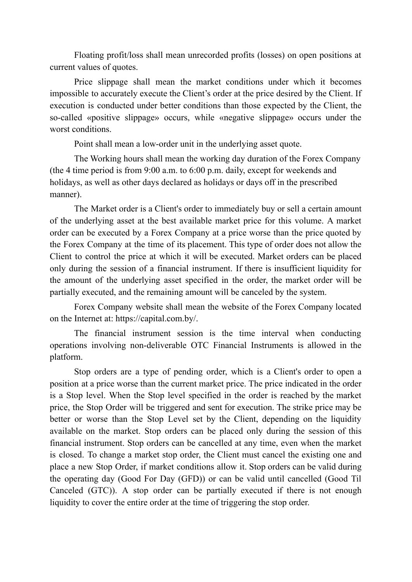Floating profit/loss shall mean unrecorded profits (losses) on open positions at current values of quotes.

Price slippage shall mean the market conditions under which it becomes impossible to accurately execute the Client's order at the price desired by the Client. If execution is conducted under better conditions than those expected by the Client, the so-called «positive slippage» occurs, while «negative slippage» occurs under the worst conditions.

Point shall mean a low-order unit in the underlying asset quote.

The Working hours shall mean the working day duration of the Forex Company (the 4 time period is from 9:00 a.m. to 6:00 p.m. daily, except for weekends and holidays, as well as other days declared as holidays or days off in the prescribed manner).

The Market order is a Client's order to immediately buy or sell a certain amount of the underlying asset at the best available market price for this volume. A market order can be executed by a Forex Company at a price worse than the price quoted by the Forex Company at the time of its placement. This type of order does not allow the Client to control the price at which it will be executed. Market orders can be placed only during the session of a financial instrument. If there is insufficient liquidity for the amount of the underlying asset specified in the order, the market order will be partially executed, and the remaining amount will be canceled by the system.

Forex Company website shall mean the website of the Forex Company located on the Internet at: https://capital.com.by/.

The financial instrument session is the time interval when conducting operations involving non-deliverable OTC Financial Instruments is allowed in the platform.

Stop orders are a type of pending order, which is a Client's order to open a position at a price worse than the current market price. The price indicated in the order is a Stop level. When the Stop level specified in the order is reached by the market price, the Stop Order will be triggered and sent for execution. The strike price may be better or worse than the Stop Level set by the Client, depending on the liquidity available on the market. Stop orders can be placed only during the session of this financial instrument. Stop orders can be cancelled at any time, even when the market is closed. To change a market stop order, the Client must cancel the existing one and place a new Stop Order, if market conditions allow it. Stop orders can be valid during the operating day (Good For Day (GFD)) or can be valid until cancelled (Good Til Canceled (GTC)). A stop order can be partially executed if there is not enough liquidity to cover the entire order at the time of triggering the stop order.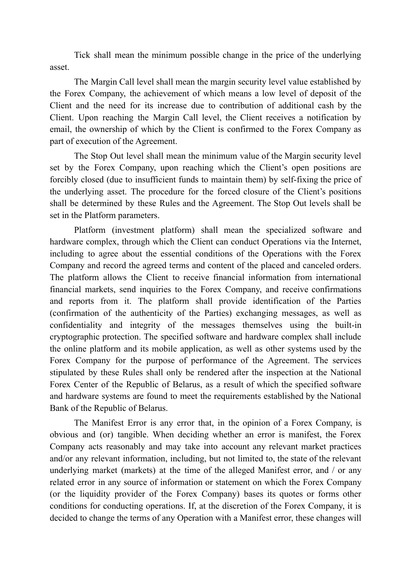Tick shall mean the minimum possible change in the price of the underlying asset.

The Margin Call level shall mean the margin security level value established by the Forex Company, the achievement of which means a low level of deposit of the Client and the need for its increase due to contribution of additional cash by the Client. Upon reaching the Margin Call level, the Client receives a notification by email, the ownership of which by the Client is confirmed to the Forex Company as part of execution of the Agreement.

The Stop Out level shall mean the minimum value of the Margin security level set by the Forex Company, upon reaching which the Client's open positions are forcibly closed (due to insufficient funds to maintain them) by self-fixing the price of the underlying asset. The procedure for the forced closure of the Client's positions shall be determined by these Rules and the Agreement. The Stop Out levels shall be set in the Platform parameters.

Platform (investment platform) shall mean the specialized software and hardware complex, through which the Client can conduct Operations via the Internet, including to agree about the essential conditions of the Operations with the Forex Company and record the agreed terms and content of the placed and canceled orders. The platform allows the Client to receive financial information from international financial markets, send inquiries to the Forex Company, and receive confirmations and reports from it. The platform shall provide identification of the Parties (confirmation of the authenticity of the Parties) exchanging messages, as well as confidentiality and integrity of the messages themselves using the built-in cryptographic protection. The specified software and hardware complex shall include the online platform and its mobile application, as well as other systems used by the Forex Company for the purpose of performance of the Agreement. The services stipulated by these Rules shall only be rendered after the inspection at the National Forex Center of the Republic of Belarus, as a result of which the specified software and hardware systems are found to meet the requirements established by the National Bank of the Republic of Belarus.

The Manifest Error is any error that, in the opinion of a Forex Company, is obvious and (or) tangible. When deciding whether an error is manifest, the Forex Company acts reasonably and may take into account any relevant market practices and/or any relevant information, including, but not limited to, the state of the relevant underlying market (markets) at the time of the alleged Manifest error, and / or any related error in any source of information or statement on which the Forex Company (or the liquidity provider of the Forex Company) bases its quotes or forms other conditions for conducting operations. If, at the discretion of the Forex Company, it is decided to change the terms of any Operation with a Manifest error, these changes will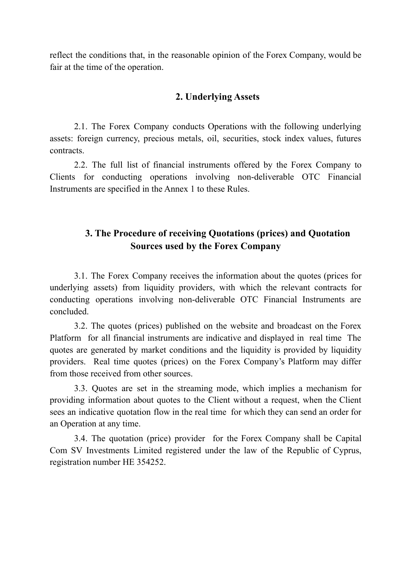reflect the conditions that, in the reasonable opinion of the Forex Company, would be fair at the time of the operation.

### **2. Underlying Assets**

2.1. The Forex Сompany conducts Operations with the following underlying assets: foreign currency, precious metals, oil, securities, stock index values, futures contracts.

2.2. The full list of financial instruments offered by the Forex Company to Clients for conducting operations involving non-deliverable OTC Financial Instruments are specified in the Annex 1 to these Rules.

## **3. The Procedure of receiving Quotations (prices) and Quotation Sources used by the Forex Company**

3.1. The Forex Company receives the information about the quotes (prices for underlying assets) from liquidity providers, with which the relevant contracts for conducting operations involving non-deliverable OTC Financial Instruments are concluded.

3.2. The quotes (prices) published on the website and broadcast on the Forex Platform for all financial instruments are indicative and displayed in real time The quotes are generated by market conditions and the liquidity is provided by liquidity providers. Real time quotes (prices) on the Forex Company's Platform may differ from those received from other sources.

3.3. Quotes are set in the streaming mode, which implies a mechanism for providing information about quotes to the Client without a request, when the Client sees an indicative quotation flow in the real time for which they can send an order for an Operation at any time.

3.4. The quotation (price) provider for the Forex Company shall be Capital Com SV Investments Limited registered under the law of the Republic of Cyprus, registration number HE 354252.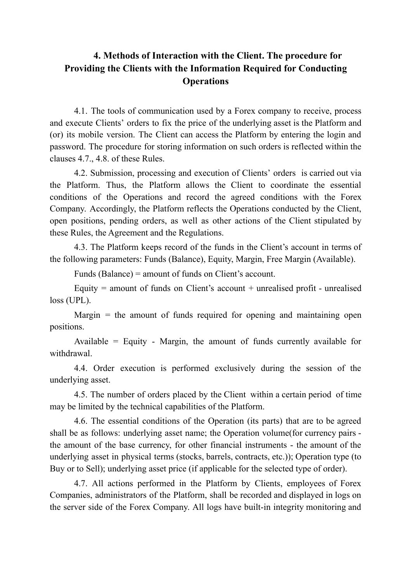# **4. Methods of Interaction with the Client. The procedure for Providing the Clients with the Information Required for Conducting Operations**

4.1. The tools of communication used by a Forex company to receive, process and execute Clients' orders to fix the price of the underlying asset is the Platform and (or) its mobile version. The Client can access the Platform by entering the login and password. The procedure for storing information on such orders is reflected within the clauses 4.7., 4.8. of these Rules.

4.2. Submission, processing and execution of Clients' orders is carried out via the Platform. Thus, the Platform allows the Client to coordinate the essential conditions of the Operations and record the agreed conditions with the Forex Company. Accordingly, the Platform reflects the Operations conducted by the Client, open positions, pending orders, as well as other actions of the Client stipulated by these Rules, the Agreement and the Regulations.

4.3. The Platform keeps record of the funds in the Client's account in terms of the following parameters: Funds (Balance), Equity, Margin, Free Margin (Available).

Funds (Balance) = amount of funds on Client's account.

Equity  $=$  amount of funds on Client's account  $+$  unrealised profit - unrealised loss (UPL).

Margin  $=$  the amount of funds required for opening and maintaining open positions.

Available = Equity - Margin, the amount of funds currently available for withdrawal.

4.4. Order execution is performed exclusively during the session of the underlying asset.

4.5. The number of orders placed by the Client within a certain period of time may be limited by the technical capabilities of the Platform.

4.6. The essential conditions of the Operation (its parts) that are to be agreed shall be as follows: underlying asset name; the Operation volume(for currency pairs the amount of the base currency, for other financial instruments - the amount of the underlying asset in physical terms (stocks, barrels, contracts, etc.)); Operation type (to Buy or to Sell); underlying asset price (if applicable for the selected type of order).

4.7. All actions performed in the Platform by Clients, employees of Forex Companies, administrators of the Platform, shall be recorded and displayed in logs on the server side of the Forex Company. All logs have built-in integrity monitoring and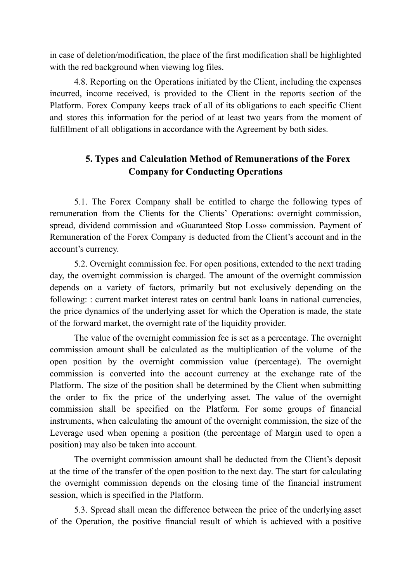in case of deletion/modification, the place of the first modification shall be highlighted with the red background when viewing log files.

4.8. Reporting on the Operations initiated by the Client, including the expenses incurred, income received, is provided to the Client in the reports section of the Platform. Forex Company keeps track of all of its obligations to each specific Client and stores this information for the period of at least two years from the moment of fulfillment of all obligations in accordance with the Agreement by both sides.

## **5. Types and Calculation Method of Remunerations of the Forex Company for Conducting Operations**

5.1. The Forex Company shall be entitled to charge the following types of remuneration from the Clients for the Clients' Operations: overnight commission, spread, dividend commission and «Guaranteed Stop Loss» commission. Payment of Remuneration of the Forex Company is deducted from the Client's account and in the account's currency.

5.2. Overnight commission fee. For open positions, extended to the next trading day, the overnight commission is charged. The amount of the overnight commission depends on a variety of factors, primarily but not exclusively depending on the following: : current market interest rates on central bank loans in national currencies, the price dynamics of the underlying asset for which the Operation is made, the state of the forward market, the overnight rate of the liquidity provider.

The value of the overnight commission fee is set as a percentage. The overnight commission amount shall be calculated as the multiplication of the volume of the open position by the overnight commission value (percentage). The overnight commission is converted into the account currency at the exchange rate of the Platform. The size of the position shall be determined by the Client when submitting the order to fix the price of the underlying asset. The value of the overnight commission shall be specified on the Platform. For some groups of financial instruments, when calculating the amount of the overnight commission, the size of the Leverage used when opening a position (the percentage of Margin used to open a position) may also be taken into account.

The overnight commission amount shall be deducted from the Client's deposit at the time of the transfer of the open position to the next day. The start for calculating the overnight commission depends on the closing time of the financial instrument session, which is specified in the Platform.

5.3. Spread shall mean the difference between the price of the underlying asset of the Operation, the positive financial result of which is achieved with a positive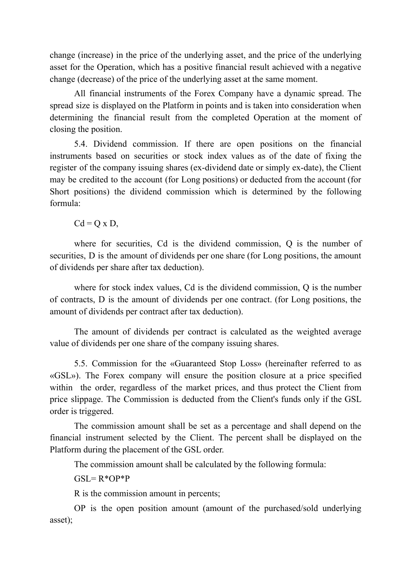change (increase) in the price of the underlying asset, and the price of the underlying asset for the Operation, which has a positive financial result achieved with a negative change (decrease) of the price of the underlying asset at the same moment.

All financial instruments of the Forex Company have a dynamic spread. The spread size is displayed on the Platform in points and is taken into consideration when determining the financial result from the completed Operation at the moment of closing the position.

5.4. Dividend commission. If there are open positions on the financial instruments based on securities or stock index values as of the date of fixing the register of the company issuing shares (ex-dividend date or simply ex-date), the Client may be credited to the account (for Long positions) or deducted from the account (for Short positions) the dividend commission which is determined by the following formula:

 $Cd = Q \times D$ ,

where for securities, Сd is the dividend commission, Q is the number of securities, D is the amount of dividends per one share (for Long positions, the amount of dividends per share after tax deduction).

where for stock index values, Cd is the dividend commission, Q is the number of contracts, D is the amount of dividends per one contract. (for Long positions, the amount of dividends per contract after tax deduction).

The amount of dividends per contract is calculated as the weighted average value of dividends per one share of the company issuing shares.

5.5. Commission for the «Guaranteed Stop Loss» (hereinafter referred to as «GSL»). The Forex company will ensure the position closure at a price specified within the order, regardless of the market prices, and thus protect the Client from price slippage. The Commission is deducted from the Client's funds only if the GSL order is triggered.

The commission amount shall be set as a percentage and shall depend on the financial instrument selected by the Client. The percent shall be displayed on the Platform during the placement of the GSL order.

The commission amount shall be calculated by the following formula:

 $GSI = R^*OP^*P$ 

R is the commission amount in percents;

OP is the open position amount (amount of the purchased/sold underlying asset);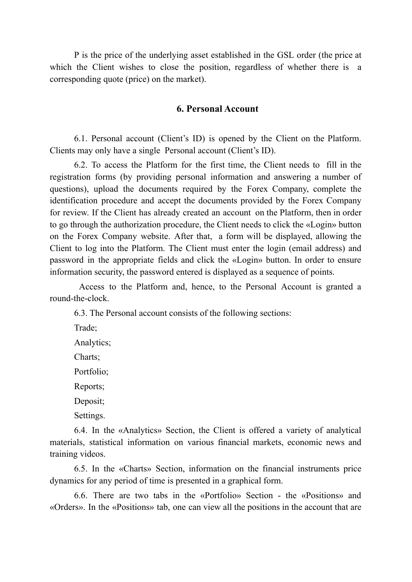P is the price of the underlying asset established in the GSL order (the price at which the Client wishes to close the position, regardless of whether there is a corresponding quote (price) on the market).

### **6. Personal Account**

6.1. Personal account (Client's ID) is opened by the Client on the Platform. Clients may only have a single Personal account (Client's ID).

6.2. To access the Platform for the first time, the Client needs to fill in the registration forms (by providing personal information and answering a number of questions), upload the documents required by the Forex Company, complete the identification procedure and accept the documents provided by the Forex Company for review. If the Client has already created an account on the Platform, then in order to go through the authorization procedure, the Client needs to click the «Login» button on the Forex Company website. After that, a form will be displayed, allowing the Client to log into the Platform. The Client must enter the login (email address) and password in the appropriate fields and click the «Login» button. In order to ensure information security, the password entered is displayed as a sequence of points.

Access to the Platform and, hence, to the Personal Account is granted a round-the-clock.

6.3. The Personal account consists of the following sections:

Trade;

Analytics;

Charts;

Portfolio;

Reports;

Deposit;

Settings.

6.4. In the «Analytics» Section, the Client is offered a variety of analytical materials, statistical information on various financial markets, economic news and training videos.

6.5. In the «Charts» Section, information on the financial instruments price dynamics for any period of time is presented in a graphical form.

6.6. There are two tabs in the «Portfolio» Section - the «Positions» and «Orders». In the «Positions» tab, one can view all the positions in the account that are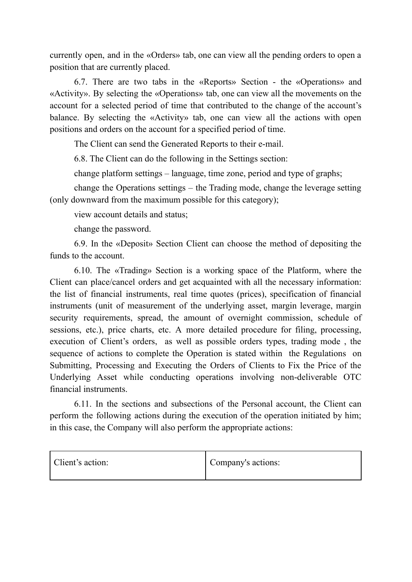currently open, and in the «Orders» tab, one can view all the pending orders to open a position that are currently placed.

6.7. There are two tabs in the «Reports» Section - the «Operations» and «Activity». By selecting the «Operations» tab, one can view all the movements on the account for a selected period of time that contributed to the change of the account's balance. By selecting the «Activity» tab, one can view all the actions with open positions and orders on the account for a specified period of time.

The Client can send the Generated Reports to their e-mail.

6.8. The Client can do the following in the Settings section:

change platform settings – language, time zone, period and type of graphs;

change the Operations settings – the Trading mode, change the leverage setting (only downward from the maximum possible for this category);

view account details and status;

change the password.

6.9. In the «Deposit» Section Client can choose the method of depositing the funds to the account.

6.10. The «Trading» Section is a working space of the Platform, where the Client can place/cancel orders and get acquainted with all the necessary information: the list of financial instruments, real time quotes (prices), specification of financial instruments (unit of measurement of the underlying asset, margin leverage, margin security requirements, spread, the amount of overnight commission, schedule of sessions, etc.), price charts, etc. A more detailed procedure for filing, processing, execution of Client's orders, as well as possible orders types, trading mode , the sequence of actions to complete the Operation is stated within the Regulations on Submitting, Processing and Executing the Orders of Clients to Fix the Price of the Underlying Asset while conducting operations involving non-deliverable OTC financial instruments.

6.11. In the sections and subsections of the Personal account, the Client can perform the following actions during the execution of the operation initiated by him; in this case, the Company will also perform the appropriate actions:

| Client's action: | Company's actions: |
|------------------|--------------------|
|------------------|--------------------|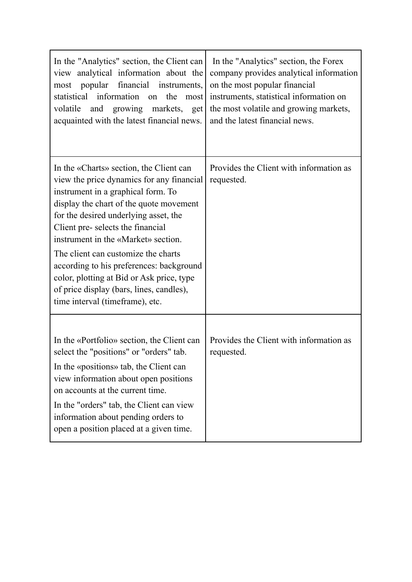| In the "Analytics" section, the Client can<br>view analytical information about the<br>financial instruments,<br>popular<br>most<br>statistical information<br>the<br>on<br>most<br>and growing<br>volatile<br>markets,<br>get<br>acquainted with the latest financial news.                                                                                                                                                                                                                             | In the "Analytics" section, the Forex<br>company provides analytical information<br>on the most popular financial<br>instruments, statistical information on<br>the most volatile and growing markets,<br>and the latest financial news. |
|----------------------------------------------------------------------------------------------------------------------------------------------------------------------------------------------------------------------------------------------------------------------------------------------------------------------------------------------------------------------------------------------------------------------------------------------------------------------------------------------------------|------------------------------------------------------------------------------------------------------------------------------------------------------------------------------------------------------------------------------------------|
| In the «Charts» section, the Client can<br>view the price dynamics for any financial<br>instrument in a graphical form. To<br>display the chart of the quote movement<br>for the desired underlying asset, the<br>Client pre-selects the financial<br>instrument in the «Market» section.<br>The client can customize the charts<br>according to his preferences: background<br>color, plotting at Bid or Ask price, type<br>of price display (bars, lines, candles),<br>time interval (timeframe), etc. | Provides the Client with information as<br>requested.                                                                                                                                                                                    |
| In the «Portfolio» section, the Client can<br>select the "positions" or "orders" tab.<br>In the «positions» tab, the Client can<br>view information about open positions<br>on accounts at the current time.<br>In the "orders" tab, the Client can view<br>information about pending orders to<br>open a position placed at a given time.                                                                                                                                                               | Provides the Client with information as<br>requested.                                                                                                                                                                                    |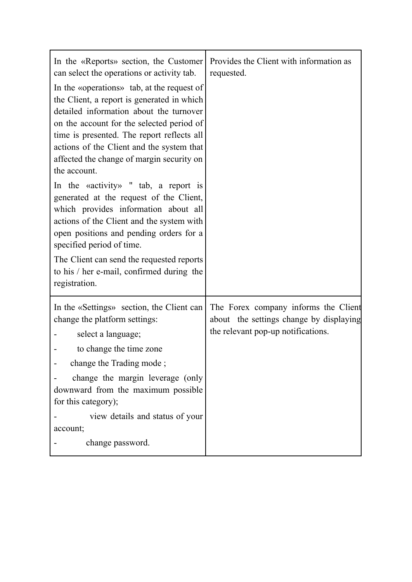| In the «Reports» section, the Customer<br>can select the operations or activity tab.<br>In the «operations» tab, at the request of<br>the Client, a report is generated in which<br>detailed information about the turnover<br>on the account for the selected period of<br>time is presented. The report reflects all<br>actions of the Client and the system that<br>affected the change of margin security on<br>the account. | Provides the Client with information as<br>requested.                                                                 |
|----------------------------------------------------------------------------------------------------------------------------------------------------------------------------------------------------------------------------------------------------------------------------------------------------------------------------------------------------------------------------------------------------------------------------------|-----------------------------------------------------------------------------------------------------------------------|
| In the «activity» " tab, a report is<br>generated at the request of the Client,<br>which provides information about all<br>actions of the Client and the system with<br>open positions and pending orders for a<br>specified period of time.<br>The Client can send the requested reports                                                                                                                                        |                                                                                                                       |
| to his / her e-mail, confirmed during the<br>registration.                                                                                                                                                                                                                                                                                                                                                                       |                                                                                                                       |
| In the «Settings» section, the Client can<br>change the platform settings:<br>select a language;<br>to change the time zone<br>change the Trading mode;<br>change the margin leverage (only<br>downward from the maximum possible<br>for this category);<br>view details and status of your                                                                                                                                      | The Forex company informs the Client<br>about the settings change by displaying<br>the relevant pop-up notifications. |
| account;<br>change password.                                                                                                                                                                                                                                                                                                                                                                                                     |                                                                                                                       |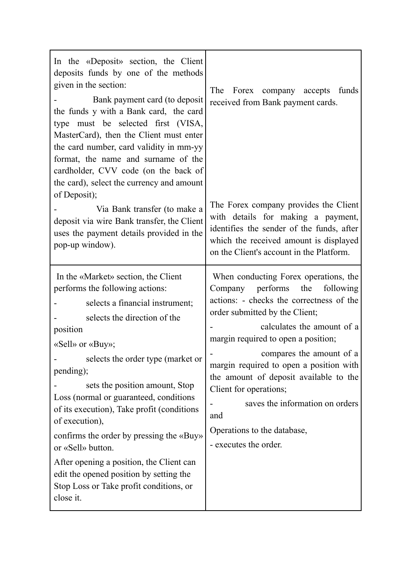| In the «Deposit» section, the Client<br>deposits funds by one of the methods<br>given in the section:<br>Bank payment card (to deposit<br>the funds y with a Bank card, the card<br>type must be selected first (VISA,<br>MasterCard), then the Client must enter<br>the card number, card validity in mm-yy<br>format, the name and surname of the<br>cardholder, CVV code (on the back of<br>the card), select the currency and amount<br>of Deposit);                                                                                                                                | The Forex company accepts funds<br>received from Bank payment cards.<br>The Forex company provides the Client                                                                                                                                                                                                                                                                                                                                                                 |
|-----------------------------------------------------------------------------------------------------------------------------------------------------------------------------------------------------------------------------------------------------------------------------------------------------------------------------------------------------------------------------------------------------------------------------------------------------------------------------------------------------------------------------------------------------------------------------------------|-------------------------------------------------------------------------------------------------------------------------------------------------------------------------------------------------------------------------------------------------------------------------------------------------------------------------------------------------------------------------------------------------------------------------------------------------------------------------------|
| Via Bank transfer (to make a<br>deposit via wire Bank transfer, the Client<br>uses the payment details provided in the<br>pop-up window).                                                                                                                                                                                                                                                                                                                                                                                                                                               | with details for making a payment,<br>identifies the sender of the funds, after<br>which the received amount is displayed<br>on the Client's account in the Platform.                                                                                                                                                                                                                                                                                                         |
| In the «Market» section, the Client<br>performs the following actions:<br>selects a financial instrument;<br>selects the direction of the<br>position<br>«Sell» or «Buy»;<br>selects the order type (market or<br>pending);<br>sets the position amount, Stop<br>Loss (normal or guaranteed, conditions<br>of its execution), Take profit (conditions<br>of execution),<br>confirms the order by pressing the «Buy»<br>or «Sell» button.<br>After opening a position, the Client can<br>edit the opened position by setting the<br>Stop Loss or Take profit conditions, or<br>close it. | When conducting Forex operations, the<br>Company performs<br>the<br>following<br>actions: - checks the correctness of the<br>order submitted by the Client;<br>calculates the amount of a<br>margin required to open a position;<br>compares the amount of a<br>margin required to open a position with<br>the amount of deposit available to the<br>Client for operations;<br>saves the information on orders<br>and<br>Operations to the database,<br>- executes the order. |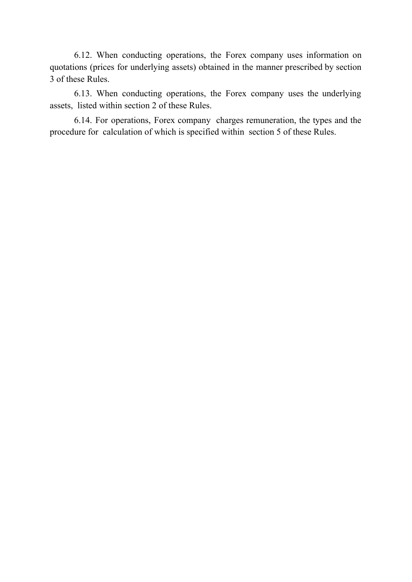6.12. When conducting operations, the Forex company uses information on quotations (prices for underlying assets) obtained in the manner prescribed by section 3 of these Rules.

6.13. When conducting operations, the Forex company uses the underlying assets, listed within section 2 of these Rules.

6.14. For operations, Forex company charges remuneration, the types and the procedure for calculation of which is specified within section 5 of these Rules.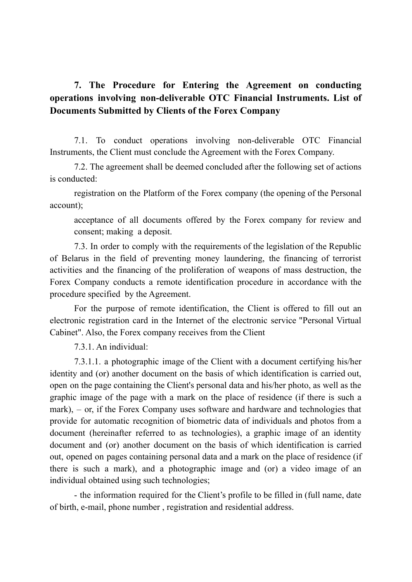# **7. The Procedure for Entering the Agreement on conducting operations involving non-deliverable OTC Financial Instruments. List of Documents Submitted by Clients of the Forex Company**

7.1. To conduct operations involving non-deliverable OTC Financial Instruments, the Client must conclude the Agreement with the Forex Company.

7.2. The agreement shall be deemed concluded after the following set of actions is conducted:

registration on the Platform of the Forex company (the opening of the Personal account);

acceptance of all documents offered by the Forex company for review and consent; making a deposit.

7.3. In order to comply with the requirements of the legislation of the Republic of Belarus in the field of preventing money laundering, the financing of terrorist activities and the financing of the proliferation of weapons of mass destruction, the Forex Company conducts a remote identification procedure in accordance with the procedure specified by the Agreement.

For the purpose of remote identification, the Client is offered to fill out an electronic registration card in the Internet of the electronic service "Personal Virtual Cabinet". Also, the Forex company receives from the Client

7.3.1. An individual:

7.3.1.1. a photographic image of the Client with a document certifying his/her identity and (or) another document on the basis of which identification is carried out, open on the page containing the Client's personal data and his/her photo, as well as the graphic image of the page with a mark on the place of residence (if there is such a mark), – or, if the Forex Company uses software and hardware and technologies that provide for automatic recognition of biometric data of individuals and photos from a document (hereinafter referred to as technologies), a graphic image of an identity document and (or) another document on the basis of which identification is carried out, opened on pages containing personal data and a mark on the place of residence (if there is such a mark), and a photographic image and (or) a video image of an individual obtained using such technologies;

- the information required for the Client's profile to be filled in (full name, date of birth, e-mail, phone number , registration and residential address.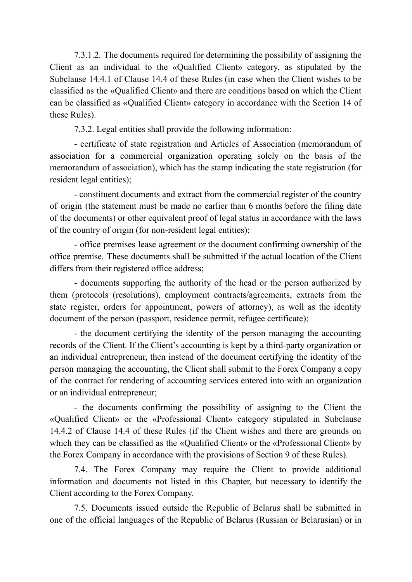7.3.1.2. The documents required for determining the possibility of assigning the Client as an individual to the «Qualified Client» category, as stipulated by the Subclause 14.4.1 of Clause 14.4 of these Rules (in case when the Client wishes to be classified as the «Qualified Client» and there are conditions based on which the Client can be classified as «Qualified Client» category in accordance with the Section 14 of these Rules).

7.3.2. Legal entities shall provide the following information:

- certificate of state registration and Articles of Association (memorandum of association for a commercial organization operating solely on the basis of the memorandum of association), which has the stamp indicating the state registration (for resident legal entities);

- constituent documents and extract from the commercial register of the country of origin (the statement must be made no earlier than 6 months before the filing date of the documents) or other equivalent proof of legal status in accordance with the laws of the country of origin (for non-resident legal entities);

- office premises lease agreement or the document confirming ownership of the office premise. These documents shall be submitted if the actual location of the Client differs from their registered office address;

- documents supporting the authority of the head or the person authorized by them (protocols (resolutions), employment contracts/agreements, extracts from the state register, orders for appointment, powers of attorney), as well as the identity document of the person (passport, residence permit, refugee certificate);

- the document certifying the identity of the person managing the accounting records of the Client. If the Client's accounting is kept by a third-party organization or an individual entrepreneur, then instead of the document certifying the identity of the person managing the accounting, the Client shall submit to the Forex Company a copy of the contract for rendering of accounting services entered into with an organization or an individual entrepreneur;

- the documents confirming the possibility of assigning to the Client the «Qualified Client» or the «Professional Client» category stipulated in Subclause 14.4.2 of Clause 14.4 of these Rules (if the Client wishes and there are grounds on which they can be classified as the «Qualified Client» or the «Professional Client» by the Forex Company in accordance with the provisions of Section 9 of these Rules).

7.4. The Forex Company may require the Client to provide additional information and documents not listed in this Chapter, but necessary to identify the Client according to the Forex Company.

7.5. Documents issued outside the Republic of Belarus shall be submitted in one of the official languages of the Republic of Belarus (Russian or Belarusian) or in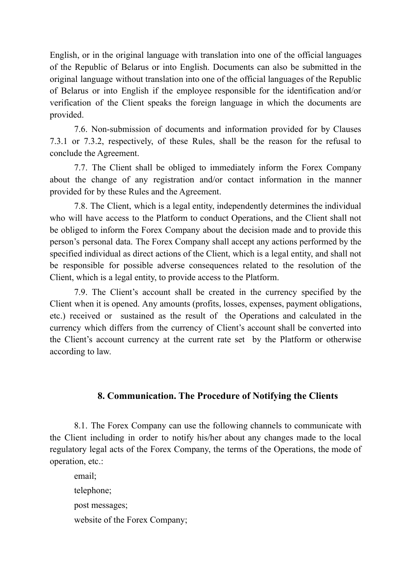English, or in the original language with translation into one of the official languages of the Republic of Belarus or into English. Documents can also be submitted in the original language without translation into one of the official languages of the Republic of Belarus or into English if the employee responsible for the identification and/or verification of the Client speaks the foreign language in which the documents are provided.

7.6. Non-submission of documents and information provided for by Clauses 7.3.1 or 7.3.2, respectively, of these Rules, shall be the reason for the refusal to conclude the Agreement.

7.7. The Client shall be obliged to immediately inform the Forex Company about the change of any registration and/or contact information in the manner provided for by these Rules and the Agreement.

7.8. The Client, which is a legal entity, independently determines the individual who will have access to the Platform to conduct Operations, and the Client shall not be obliged to inform the Forex Company about the decision made and to provide this person's personal data. The Forex Company shall accept any actions performed by the specified individual as direct actions of the Client, which is a legal entity, and shall not be responsible for possible adverse consequences related to the resolution of the Client, which is a legal entity, to provide access to the Platform.

7.9. The Client's account shall be created in the currency specified by the Client when it is opened. Any amounts (profits, losses, expenses, payment obligations, etc.) received or sustained as the result of the Operations and calculated in the currency which differs from the currency of Client's account shall be converted into the Client's account currency at the current rate set by the Platform or otherwise according to law.

### **8. Communication. The Procedure of Notifying the Clients**

8.1. The Forex Company can use the following channels to communicate with the Client including in order to notify his/her about any changes made to the local regulatory legal acts of the Forex Company, the terms of the Operations, the mode of operation, etc.:

email; telephone; post messages; website of the Forex Company;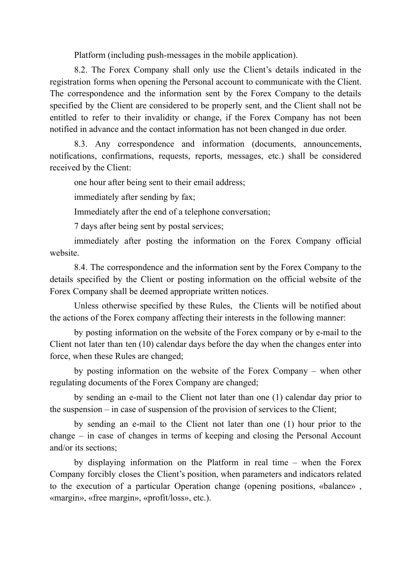Platform (including push-messages in the mobile application).

8.2. The Forex Company shall only use the Client's details indicated in the registration forms when opening the Personal account to communicate with the Client. The correspondence and the information sent by the Forex Company to the details specified by the Client are considered to be properly sent, and the Client shall not be entitled to refer to their invalidity or change, if the Forex Company has not been notified in advance and the contact information has not been changed in due order.

8.3. Any correspondence and information (documents, announcements, notifications, confirmations, requests, reports, messages, etc.) shall be considered received by the Client:

one hour after being sent to their email address;

immediately after sending by fax;

Immediately after the end of a telephone conversation;

7 days after being sent by postal services;

immediately after posting the information on the Forex Company official website.

8.4. The correspondence and the information sent by the Forex Company to the details specified by the Client or posting information on the official website of the Forex Company shall be deemed appropriate written notices.

Unless otherwise specified by these Rules, the Clients will be notified about the actions of the Forex company affecting their interests in the following manner:

by posting information on the website of the Forex company or by e-mail to the Client not later than ten (10) calendar days before the day when the changes enter into force, when these Rules are changed;

by posting information on the website of the Forex Company – when other regulating documents of the Forex Company are changed;

by sending an e-mail to the Client not later than one (1) calendar day prior to the suspension – in case of suspension of the provision of services to the Client;

by sending an e-mail to the Client not later than one (1) hour prior to the change – in case of changes in terms of keeping and closing the Personal Account and/or its sections;

by displaying information on the Platform in real time – when the Forex Company forcibly closes the Client's position, when parameters and indicators related to the execution of a particular Operation change (opening positions, «balance» , «margin», «free margin», «profit/loss», etc.).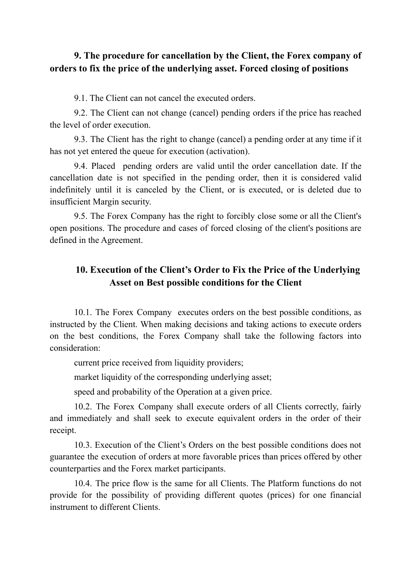## **9. The procedure for cancellation by the Client, the Forex company of orders to fix the price of the underlying asset. Forced closing of positions**

9.1. The Client can not cancel the executed orders.

9.2. The Client can not change (cancel) pending orders if the price has reached the level of order execution.

9.3. The Client has the right to change (cancel) a pending order at any time if it has not yet entered the queue for execution (activation).

9.4. Placed pending orders are valid until the order cancellation date. If the cancellation date is not specified in the pending order, then it is considered valid indefinitely until it is canceled by the Client, or is executed, or is deleted due to insufficient Margin security.

9.5. The Forex Company has the right to forcibly close some or all the Client's open positions. The procedure and cases of forced closing of the client's positions are defined in the Agreement.

# **10. Execution of the Client's Order to Fix the Price of the Underlying Asset on Best possible conditions for the Client**

10.1. The Forex Company executes orders on the best possible conditions, as instructed by the Client. When making decisions and taking actions to execute orders on the best conditions, the Forex Company shall take the following factors into consideration:

current price received from liquidity providers;

market liquidity of the corresponding underlying asset;

speed and probability of the Operation at a given price.

10.2. The Forex Company shall execute orders of all Clients correctly, fairly and immediately and shall seek to execute equivalent orders in the order of their receipt.

10.3. Execution of the Client's Orders on the best possible conditions does not guarantee the execution of orders at more favorable prices than prices offered by other counterparties and the Forex market participants.

10.4. The price flow is the same for all Clients. The Platform functions do not provide for the possibility of providing different quotes (prices) for one financial instrument to different Clients.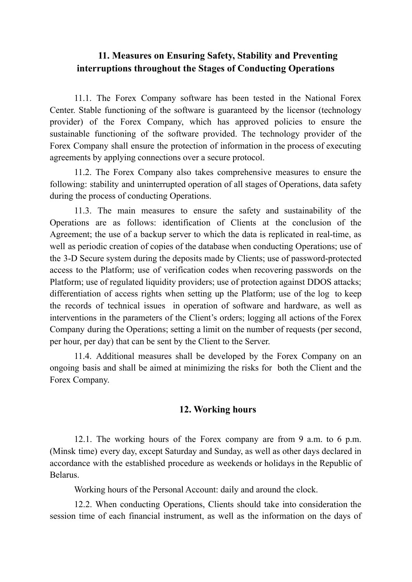### **11. Measures on Ensuring Safety, Stability and Preventing interruptions throughout the Stages of Conducting Operations**

11.1. The Forex Company software has been tested in the National Forex Center. Stable functioning of the software is guaranteed by the licensor (technology provider) of the Forex Company, which has approved policies to ensure the sustainable functioning of the software provided. The technology provider of the Forex Company shall ensure the protection of information in the process of executing agreements by applying connections over a secure protocol.

11.2. The Forex Company also takes comprehensive measures to ensure the following: stability and uninterrupted operation of all stages of Operations, data safety during the process of conducting Operations.

11.3. The main measures to ensure the safety and sustainability of the Operations are as follows: identification of Clients at the conclusion of the Agreement; the use of a backup server to which the data is replicated in real-time, as well as periodic creation of copies of the database when conducting Operations; use of the 3-D Secure system during the deposits made by Clients; use of password-protected access to the Platform; use of verification codes when recovering passwords on the Platform; use of regulated liquidity providers; use of protection against DDOS attacks; differentiation of access rights when setting up the Platform; use of the log to keep the records of technical issues in operation of software and hardware, as well as interventions in the parameters of the Client's orders; logging all actions of the Forex Company during the Operations; setting a limit on the number of requests (per second, per hour, per day) that can be sent by the Client to the Server.

11.4. Additional measures shall be developed by the Forex Company on an ongoing basis and shall be aimed at minimizing the risks for both the Client and the Forex Company.

### **12. Working hours**

12.1. The working hours of the Forex company are from 9 a.m. to 6 p.m. (Minsk time) every day, except Saturday and Sunday, as well as other days declared in accordance with the established procedure as weekends or holidays in the Republic of Belarus.

Working hours of the Personal Account: daily and around the clock.

12.2. When conducting Operations, Clients should take into consideration the session time of each financial instrument, as well as the information on the days of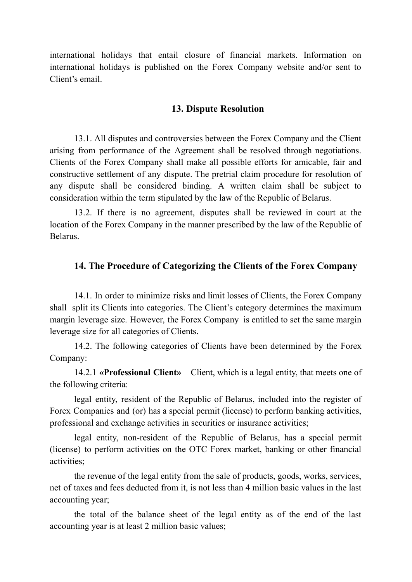international holidays that entail closure of financial markets. Information on international holidays is published on the Forex Company website and/or sent to Client's email.

### **13. Dispute Resolution**

13.1. All disputes and controversies between the Forex Company and the Client arising from performance of the Agreement shall be resolved through negotiations. Clients of the Forex Company shall make all possible efforts for amicable, fair and constructive settlement of any dispute. The pretrial claim procedure for resolution of any dispute shall be considered binding. A written claim shall be subject to consideration within the term stipulated by the law of the Republic of Belarus.

13.2. If there is no agreement, disputes shall be reviewed in court at the location of the Forex Company in the manner prescribed by the law of the Republic of Belarus.

### **14. The Procedure of Categorizing the Clients of the Forex Company**

14.1. In order to minimize risks and limit losses of Clients, the Forex Company shall split its Clients into categories. The Client's category determines the maximum margin leverage size. However, the Forex Company is entitled to set the same margin leverage size for all categories of Clients.

14.2. The following categories of Clients have been determined by the Forex Company:

14.2.1 **«Professional Client»** – Client, which is a legal entity, that meets one of the following criteria:

legal entity, resident of the Republic of Belarus, included into the register of Forex Companies and (or) has a special permit (license) to perform banking activities, professional and exchange activities in securities or insurance activities;

legal entity, non-resident of the Republic of Belarus, has a special permit (license) to perform activities on the OTC Forex market, banking or other financial activities;

the revenue of the legal entity from the sale of products, goods, works, services, net of taxes and fees deducted from it, is not less than 4 million basic values in the last accounting year;

the total of the balance sheet of the legal entity as of the end of the last accounting year is at least 2 million basic values;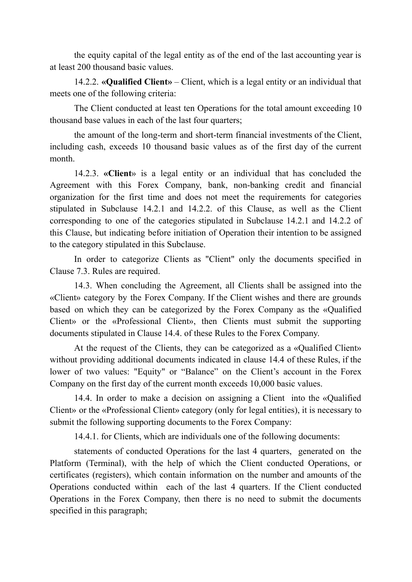the equity capital of the legal entity as of the end of the last accounting year is at least 200 thousand basic values.

14.2.2. **«Qualified Client»** – Client, which is a legal entity or an individual that meets one of the following criteria:

The Client conducted at least ten Operations for the total amount exceeding 10 thousand base values in each of the last four quarters;

the amount of the long-term and short-term financial investments of the Client, including cash, exceeds 10 thousand basic values as of the first day of the current month.

14.2.3. **«Client**» is a legal entity or an individual that has concluded the Agreement with this Forex Company, bank, non-banking credit and financial organization for the first time and does not meet the requirements for categories stipulated in Subclause 14.2.1 and 14.2.2. of this Clause, as well as the Client corresponding to one of the categories stipulated in Subclause 14.2.1 and 14.2.2 of this Clause, but indicating before initiation of Operation their intention to be assigned to the category stipulated in this Subclause.

In order to categorize Clients as "Client" only the documents specified in Clause 7.3. Rules are required.

14.3. When concluding the Agreement, all Clients shall be assigned into the «Client» category by the Forex Company. If the Client wishes and there are grounds based on which they can be categorized by the Forex Company as the «Qualified Client» or the «Professional Client», then Clients must submit the supporting documents stipulated in Clause 14.4. of these Rules to the Forex Company.

At the request of the Clients, they can be categorized as a «Qualified Client» without providing additional documents indicated in clause 14.4 of these Rules, if the lower of two values: "Equity" or "Balance" on the Client's account in the Forex Company on the first day of the current month exceeds 10,000 basic values.

14.4. In order to make a decision on assigning a Client into the «Qualified Client» or the «Professional Client» category (only for legal entities), it is necessary to submit the following supporting documents to the Forex Company:

14.4.1. for Clients, which are individuals one of the following documents:

statements of conducted Operations for the last 4 quarters, generated on the Platform (Terminal), with the help of which the Client conducted Operations, or certificates (registers), which contain information on the number and amounts of the Operations conducted within each of the last 4 quarters. If the Client conducted Operations in the Forex Company, then there is no need to submit the documents specified in this paragraph;